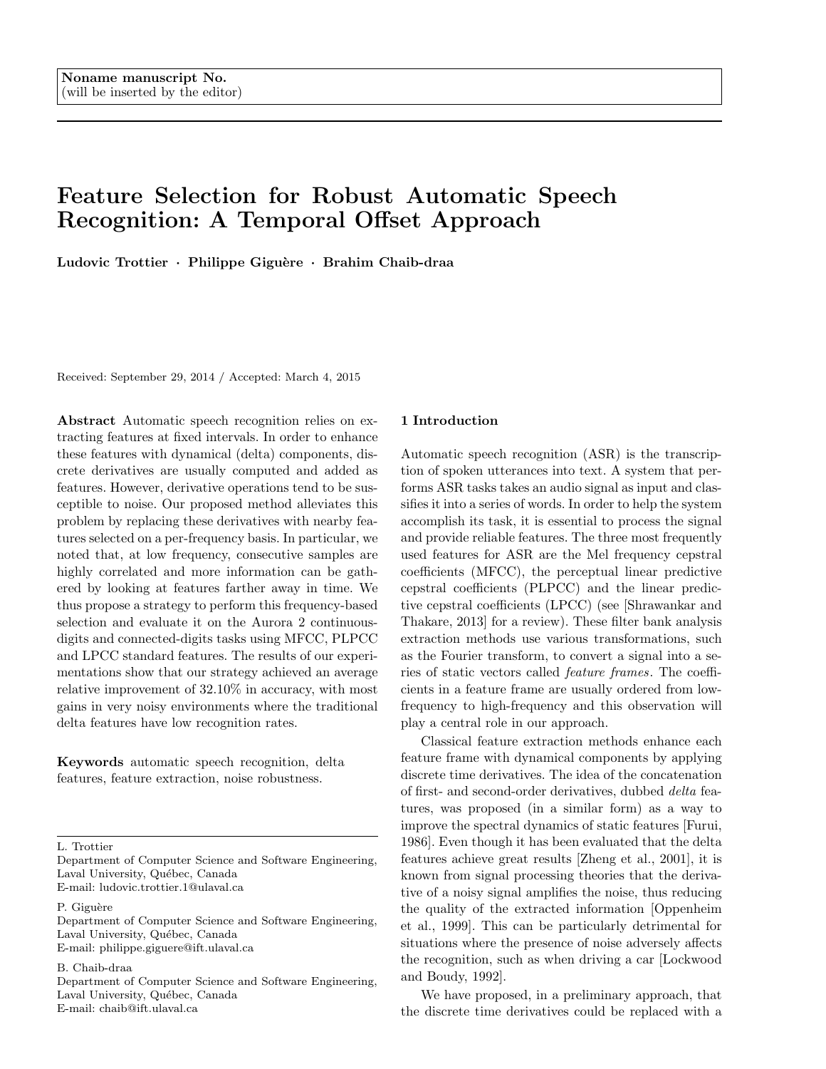# **Feature Selection for Robust Automatic Speech Recognition: A Temporal Offset Approach**

**Ludovic Trottier** *·* **Philippe Gigu`ere** *·* **Brahim Chaib-draa**

Received: September 29, 2014 / Accepted: March 4, 2015

**Abstract** Automatic speech recognition relies on extracting features at fixed intervals. In order to enhance these features with dynamical (delta) components, discrete derivatives are usually computed and added as features. However, derivative operations tend to be susceptible to noise. Our proposed method alleviates this problem by replacing these derivatives with nearby features selected on a per-frequency basis. In particular, we noted that, at low frequency, consecutive samples are highly correlated and more information can be gathered by looking at features farther away in time. We thus propose a strategy to perform this frequency-based selection and evaluate it on the Aurora 2 continuousdigits and connected-digits tasks using MFCC, PLPCC and LPCC standard features. The results of our experimentations show that our strategy achieved an average relative improvement of 32*.*10% in accuracy, with most gains in very noisy environments where the traditional delta features have low recognition rates.

**Keywords** automatic speech recognition, delta features, feature extraction, noise robustness.

P. Giguère

Department of Computer Science and Software Engineering, Laval University, Québec, Canada E-mail: philippe.giguere@ift.ulaval.ca

B. Chaib-draa

Department of Computer Science and Software Engineering, Laval University, Québec, Canada E-mail: chaib@ift.ulaval.ca

# **1 Introduction**

Automatic speech recognition (ASR) is the transcription of spoken utterances into text. A system that performs ASR tasks takes an audio signal as input and classifies it into a series of words. In order to help the system accomplish its task, it is essential to process the signal and provide reliable features. The three most frequently used features for ASR are the Mel frequency cepstral coefficients (MFCC), the perceptual linear predictive cepstral coefficients (PLPCC) and the linear predictive cepstral coefficients (LPCC) (see [Shrawankar and Thakare, 2013] for a review). These filter bank analysis extraction methods use various transformations, such as the Fourier transform, to convert a signal into a series of static vectors called *feature frames*. The coefficients in a feature frame are usually ordered from lowfrequency to high-frequency and this observation will play a central role in our approach.

Classical feature extraction methods enhance each feature frame with dynamical components by applying discrete time derivatives. The idea of the concatenation of first- and second-order derivatives, dubbed *delta* features, was proposed (in a similar form) as a way to improve the spectral dynamics of static features [Furui, 1986]. Even though it has been evaluated that the delta features achieve great results [Zheng et al., 2001], it is known from signal processing theories that the derivative of a noisy signal amplifies the noise, thus reducing the quality of the extracted information [Oppenheim et al., 1999]. This can be particularly detrimental for situations where the presence of noise adversely affects the recognition, such as when driving a car [Lockwood and Boudy, 1992].

We have proposed, in a preliminary approach, that the discrete time derivatives could be replaced with a

L. Trottier

Department of Computer Science and Software Engineering, Laval University, Québec, Canada E-mail: ludovic.trottier.1@ulaval.ca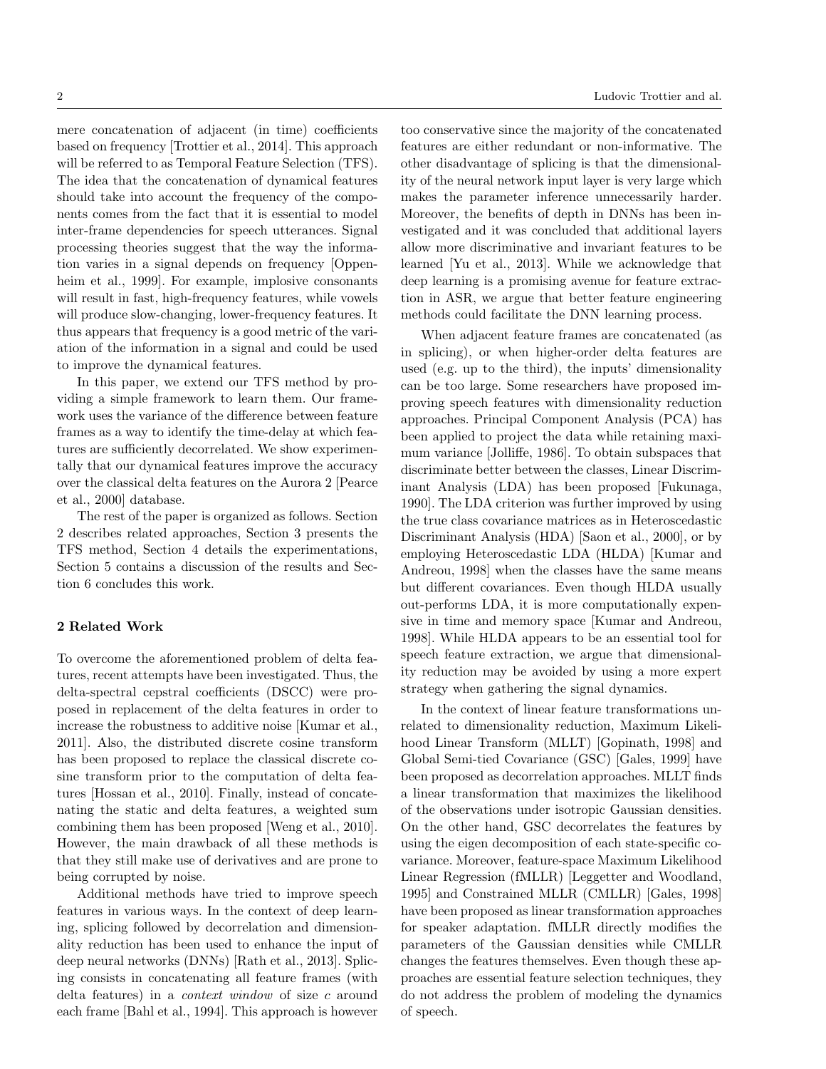mere concatenation of adjacent (in time) coefficients based on frequency [Trottier et al., 2014]. This approach will be referred to as Temporal Feature Selection (TFS). The idea that the concatenation of dynamical features should take into account the frequency of the components comes from the fact that it is essential to model inter-frame dependencies for speech utterances. Signal processing theories suggest that the way the information varies in a signal depends on frequency [Oppenheim et al., 1999]. For example, implosive consonants will result in fast, high-frequency features, while vowels will produce slow-changing, lower-frequency features. It thus appears that frequency is a good metric of the variation of the information in a signal and could be used to improve the dynamical features.

In this paper, we extend our TFS method by providing a simple framework to learn them. Our framework uses the variance of the difference between feature frames as a way to identify the time-delay at which features are sufficiently decorrelated. We show experimentally that our dynamical features improve the accuracy over the classical delta features on the Aurora 2 [Pearce et al., 2000] database.

The rest of the paper is organized as follows. Section 2 describes related approaches, Section 3 presents the TFS method, Section 4 details the experimentations, Section 5 contains a discussion of the results and Section 6 concludes this work.

# **2 Related Work**

To overcome the aforementioned problem of delta features, recent attempts have been investigated. Thus, the delta-spectral cepstral coefficients (DSCC) were proposed in replacement of the delta features in order to increase the robustness to additive noise [Kumar et al., 2011]. Also, the distributed discrete cosine transform has been proposed to replace the classical discrete cosine transform prior to the computation of delta features [Hossan et al., 2010]. Finally, instead of concatenating the static and delta features, a weighted sum combining them has been proposed [Weng et al., 2010]. However, the main drawback of all these methods is that they still make use of derivatives and are prone to being corrupted by noise.

Additional methods have tried to improve speech features in various ways. In the context of deep learning, splicing followed by decorrelation and dimensionality reduction has been used to enhance the input of deep neural networks (DNNs) [Rath et al., 2013]. Splicing consists in concatenating all feature frames (with delta features) in a *context window* of size *c* around each frame [Bahl et al., 1994]. This approach is however

too conservative since the majority of the concatenated features are either redundant or non-informative. The other disadvantage of splicing is that the dimensionality of the neural network input layer is very large which makes the parameter inference unnecessarily harder. Moreover, the benefits of depth in DNNs has been investigated and it was concluded that additional layers allow more discriminative and invariant features to be learned [Yu et al., 2013]. While we acknowledge that deep learning is a promising avenue for feature extraction in ASR, we argue that better feature engineering methods could facilitate the DNN learning process.

When adjacent feature frames are concatenated (as in splicing), or when higher-order delta features are used (e.g. up to the third), the inputs' dimensionality can be too large. Some researchers have proposed improving speech features with dimensionality reduction approaches. Principal Component Analysis (PCA) has been applied to project the data while retaining maximum variance [Jolliffe, 1986]. To obtain subspaces that discriminate better between the classes, Linear Discriminant Analysis (LDA) has been proposed [Fukunaga, 1990]. The LDA criterion was further improved by using the true class covariance matrices as in Heteroscedastic Discriminant Analysis (HDA) [Saon et al., 2000], or by employing Heteroscedastic LDA (HLDA) [Kumar and Andreou, 1998] when the classes have the same means but different covariances. Even though HLDA usually out-performs LDA, it is more computationally expensive in time and memory space [Kumar and Andreou, 1998]. While HLDA appears to be an essential tool for speech feature extraction, we argue that dimensionality reduction may be avoided by using a more expert strategy when gathering the signal dynamics.

In the context of linear feature transformations unrelated to dimensionality reduction, Maximum Likelihood Linear Transform (MLLT) [Gopinath, 1998] and Global Semi-tied Covariance (GSC) [Gales, 1999] have been proposed as decorrelation approaches. MLLT finds a linear transformation that maximizes the likelihood of the observations under isotropic Gaussian densities. On the other hand, GSC decorrelates the features by using the eigen decomposition of each state-specific covariance. Moreover, feature-space Maximum Likelihood Linear Regression (fMLLR) [Leggetter and Woodland, 1995] and Constrained MLLR (CMLLR) [Gales, 1998] have been proposed as linear transformation approaches for speaker adaptation. fMLLR directly modifies the parameters of the Gaussian densities while CMLLR changes the features themselves. Even though these approaches are essential feature selection techniques, they do not address the problem of modeling the dynamics of speech.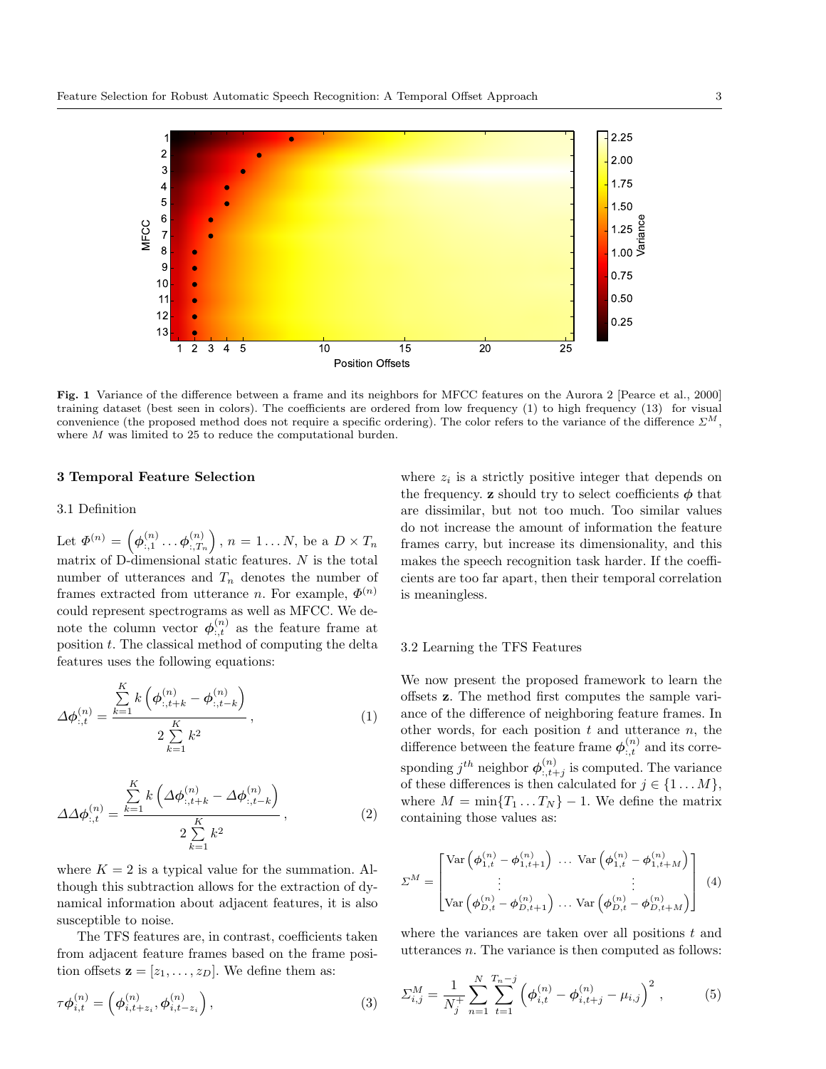

**Fig. 1** Variance of the difference between a frame and its neighbors for MFCC features on the Aurora 2 [Pearce et al., 2000] training dataset (best seen in colors). The coefficients are ordered from low frequency (1) to high frequency (13) for visual convenience (the proposed method does not require a specific ordering). The color refers to the variance of the difference *ΣM*, where *M* was limited to 25 to reduce the computational burden.

# **3 Temporal Feature Selection**

#### 3.1 Definition

Let  $\mathbf{\Phi}^{(n)} = \left(\mathbf{\phi}_{:,1}^{(n)} \dots \mathbf{\phi}_{:,T_n}^{(n)}\right)$ :*,T<sup>n</sup>*  $\bigg), n = 1...N$ , be a  $D \times T_n$ matrix of D-dimensional static features. *N* is the total number of utterances and  $T_n$  denotes the number of frames extracted from utterance *n*. For example,  $\Phi^{(n)}$ could represent spectrograms as well as MFCC. We denote the column vector  $\phi^{(n)}_{:,t}$  as the feature frame at position *t*. The classical method of computing the delta features uses the following equations:

$$
\Delta \phi_{:,t}^{(n)} = \frac{\sum_{k=1}^{K} k \left( \phi_{:,t+k}^{(n)} - \phi_{:,t-k}^{(n)} \right)}{2 \sum_{k=1}^{K} k^2}, \qquad (1)
$$

$$
\Delta \Delta \phi_{:,t}^{(n)} = \frac{\sum_{k=1}^{K} k \left( \Delta \phi_{:,t+k}^{(n)} - \Delta \phi_{:,t-k}^{(n)} \right)}{2 \sum_{k=1}^{K} k^2}, \qquad (2)
$$

where  $K = 2$  is a typical value for the summation. Although this subtraction allows for the extraction of dynamical information about adjacent features, it is also susceptible to noise.

The TFS features are, in contrast, coefficients taken from adjacent feature frames based on the frame position offsets  $\mathbf{z} = [z_1, \ldots, z_D]$ . We define them as:

$$
\tau \phi_{i,t}^{(n)} = \left( \phi_{i,t+z_i}^{(n)}, \phi_{i,t-z_i}^{(n)} \right), \tag{3}
$$

where  $z_i$  is a strictly positive integer that depends on the frequency. **z** should try to select coefficients  $\phi$  that are dissimilar, but not too much. Too similar values do not increase the amount of information the feature frames carry, but increase its dimensionality, and this makes the speech recognition task harder. If the coefficients are too far apart, then their temporal correlation is meaningless.

## 3.2 Learning the TFS Features

We now present the proposed framework to learn the offsets **z**. The method first computes the sample variance of the difference of neighboring feature frames. In other words, for each position *t* and utterance *n*, the difference between the feature frame  $\phi_{:,t}^{(n)}$  and its corresponding  $j^{th}$  neighbor  $\phi^{(n)}_{:,t+j}$  is computed. The variance of these differences is then calculated for  $j \in \{1...M\}$ , where  $M = \min\{T_1 \dots T_N\} - 1$ . We define the matrix containing those values as:

$$
\Sigma^{M} = \begin{bmatrix}\n\text{Var}\left(\phi_{1,t}^{(n)} - \phi_{1,t+1}^{(n)}\right) \dots \text{Var}\left(\phi_{1,t}^{(n)} - \phi_{1,t+M}^{(n)}\right) \\
\vdots \\
\text{Var}\left(\phi_{D,t}^{(n)} - \phi_{D,t+1}^{(n)}\right) \dots \text{Var}\left(\phi_{D,t}^{(n)} - \phi_{D,t+M}^{(n)}\right)\n\end{bmatrix} (4)
$$

where the variances are taken over all positions *t* and utterances *n*. The variance is then computed as follows:

$$
\Sigma_{i,j}^M = \frac{1}{N_j^+} \sum_{n=1}^N \sum_{t=1}^{T_n - j} \left( \phi_{i,t}^{(n)} - \phi_{i,t+j}^{(n)} - \mu_{i,j} \right)^2, \tag{5}
$$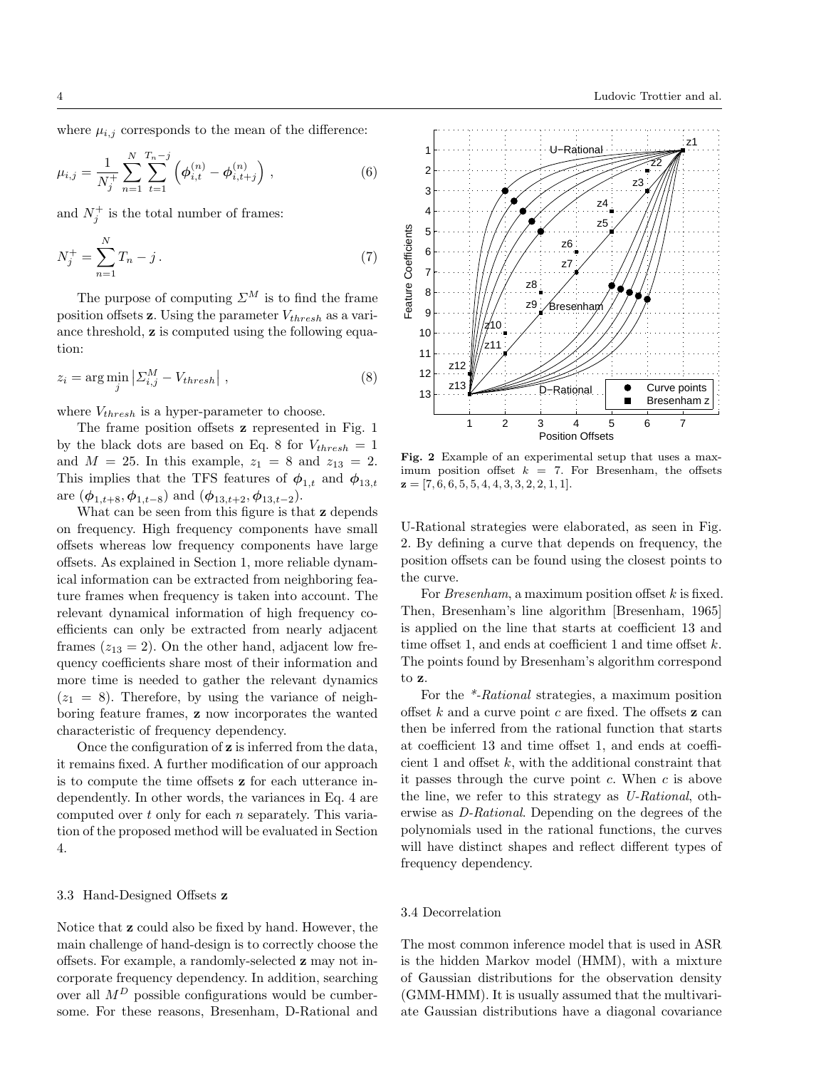where  $\mu_{i,j}$  corresponds to the mean of the difference:

$$
\mu_{i,j} = \frac{1}{N_j^+} \sum_{n=1}^N \sum_{t=1}^{T_n - j} \left( \phi_{i,t}^{(n)} - \phi_{i,t+j}^{(n)} \right), \qquad (6)
$$

and  $N_j^+$  is the total number of frames:

$$
N_j^+ = \sum_{n=1}^N T_n - j \,. \tag{7}
$$

The purpose of computing  $\mathcal{Z}^M$  is to find the frame position offsets **z**. Using the parameter *Vthresh* as a variance threshold, **z** is computed using the following equation:

$$
z_i = \arg\min_j \left| \sum_{i,j}^{M} - V_{thresh} \right| , \qquad (8)
$$

where *Vthresh* is a hyper-parameter to choose.

The frame position offsets **z** represented in Fig. 1 by the black dots are based on Eq. 8 for  $V_{thresh} = 1$ and  $M = 25$ . In this example,  $z_1 = 8$  and  $z_{13} = 2$ . This implies that the TFS features of  $\phi_{1,t}$  and  $\phi_{13,t}$ are  $(\phi_{1,t+8}, \phi_{1,t-8})$  and  $(\phi_{13,t+2}, \phi_{13,t-2})$ .

What can be seen from this figure is that **z** depends on frequency. High frequency components have small offsets whereas low frequency components have large offsets. As explained in Section 1, more reliable dynamical information can be extracted from neighboring feature frames when frequency is taken into account. The relevant dynamical information of high frequency coefficients can only be extracted from nearly adjacent frames  $(z_{13} = 2)$ . On the other hand, adjacent low frequency coefficients share most of their information and more time is needed to gather the relevant dynamics  $(z_1 = 8)$ . Therefore, by using the variance of neighboring feature frames, **z** now incorporates the wanted characteristic of frequency dependency.

Once the configuration of **z** is inferred from the data, it remains fixed. A further modification of our approach is to compute the time offsets **z** for each utterance independently. In other words, the variances in Eq. 4 are computed over *t* only for each *n* separately. This variation of the proposed method will be evaluated in Section 4.

## 3.3 Hand-Designed Offsets **z**

Notice that **z** could also be fixed by hand. However, the main challenge of hand-design is to correctly choose the offsets. For example, a randomly-selected **z** may not incorporate frequency dependency. In addition, searching over all  $M^D$  possible configurations would be cumbersome. For these reasons, Bresenham, D-Rational and



**Fig. 2** Example of an experimental setup that uses a maximum position offset  $k = 7$ . For Bresenham, the offsets **z** = [7*,* 6*,* 6*,* 5*,* 5*,* 4*,* 4*,* 3*,* 3*,* 2*,* 2*,* 1*,* 1].

U-Rational strategies were elaborated, as seen in Fig. 2. By defining a curve that depends on frequency, the position offsets can be found using the closest points to the curve.

For *Bresenham*, a maximum position offset *k* is fixed. Then, Bresenham's line algorithm [Bresenham, 1965] is applied on the line that starts at coefficient 13 and time offset 1, and ends at coefficient 1 and time offset *k*. The points found by Bresenham's algorithm correspond to **z**.

For the *\*-Rational* strategies, a maximum position offset *k* and a curve point *c* are fixed. The offsets **z** can then be inferred from the rational function that starts at coefficient 13 and time offset 1, and ends at coefficient 1 and offset *k*, with the additional constraint that it passes through the curve point *c*. When *c* is above the line, we refer to this strategy as *U-Rational*, otherwise as *D-Rational*. Depending on the degrees of the polynomials used in the rational functions, the curves will have distinct shapes and reflect different types of frequency dependency.

# 3.4 Decorrelation

The most common inference model that is used in ASR is the hidden Markov model (HMM), with a mixture of Gaussian distributions for the observation density (GMM-HMM). It is usually assumed that the multivariate Gaussian distributions have a diagonal covariance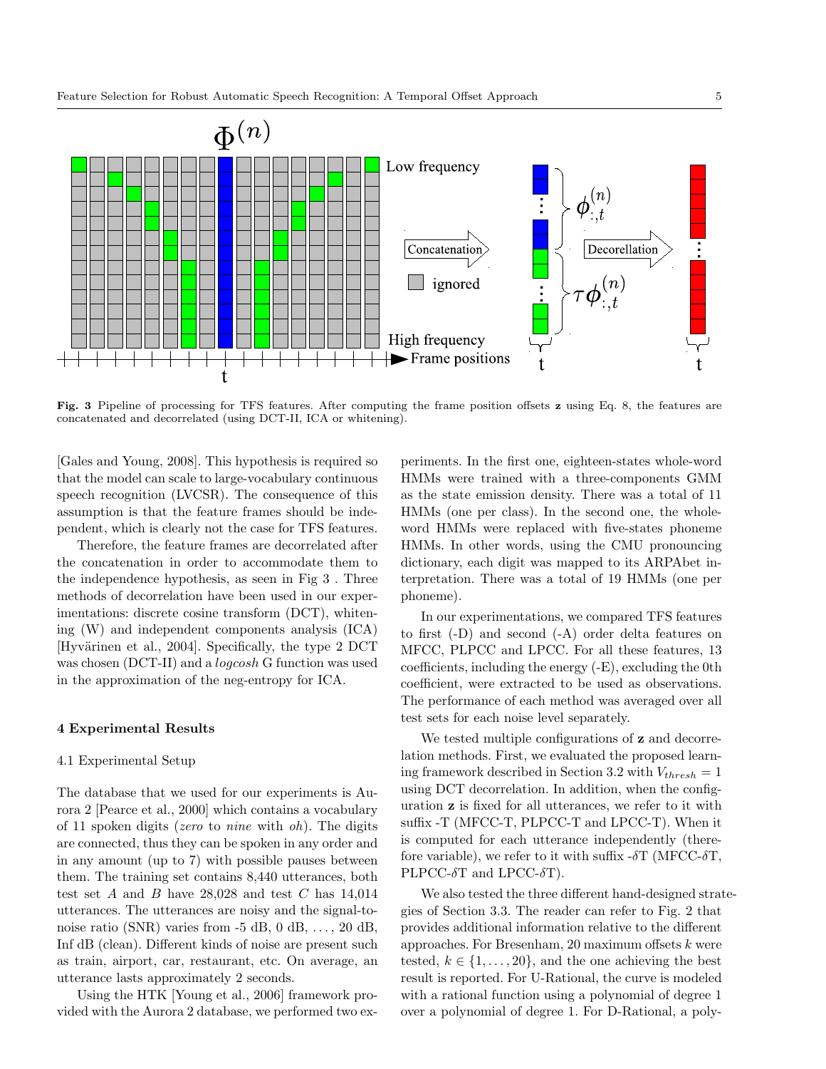

**Fig. 3** Pipeline of processing for TFS features. After computing the frame position offsets **z** using Eq. 8, the features are concatenated and decorrelated (using DCT-II, ICA or whitening).

[Gales and Young, 2008]. This hypothesis is required so that the model can scale to large-vocabulary continuous speech recognition (LVCSR). The consequence of this assumption is that the feature frames should be independent, which is clearly not the case for TFS features.

Therefore, the feature frames are decorrelated after the concatenation in order to accommodate them to the independence hypothesis, as seen in Fig 3 . Three methods of decorrelation have been used in our experimentations: discrete cosine transform (DCT), whitening (W) and independent components analysis (ICA) [Hyvärinen et al., 2004]. Specifically, the type 2 DCT was chosen (DCT-II) and a *logcosh* G function was used in the approximation of the neg-entropy for ICA.

#### **4 Experimental Results**

#### 4.1 Experimental Setup

The database that we used for our experiments is Aurora 2 [Pearce et al., 2000] which contains a vocabulary of 11 spoken digits (*zero* to *nine* with *oh*). The digits are connected, thus they can be spoken in any order and in any amount (up to 7) with possible pauses between them. The training set contains 8,440 utterances, both test set *A* and *B* have 28,028 and test *C* has 14,014 utterances. The utterances are noisy and the signal-tonoise ratio (SNR) varies from -5 dB, 0 dB, *. . .* , 20 dB, Inf dB (clean). Different kinds of noise are present such as train, airport, car, restaurant, etc. On average, an utterance lasts approximately 2 seconds.

Using the HTK [Young et al., 2006] framework provided with the Aurora 2 database, we performed two ex-

periments. In the first one, eighteen-states whole-word HMMs were trained with a three-components GMM as the state emission density. There was a total of 11 HMMs (one per class). In the second one, the wholeword HMMs were replaced with five-states phoneme HMMs. In other words, using the CMU pronouncing dictionary, each digit was mapped to its ARPAbet interpretation. There was a total of 19 HMMs (one per phoneme).

In our experimentations, we compared TFS features to first (-D) and second (-A) order delta features on MFCC, PLPCC and LPCC. For all these features, 13 coefficients, including the energy (-E), excluding the 0th coefficient, were extracted to be used as observations. The performance of each method was averaged over all test sets for each noise level separately.

We tested multiple configurations of **z** and decorrelation methods. First, we evaluated the proposed learning framework described in Section 3.2 with *Vthresh* = 1 using DCT decorrelation. In addition, when the configuration **z** is fixed for all utterances, we refer to it with suffix -T (MFCC-T, PLPCC-T and LPCC-T). When it is computed for each utterance independently (therefore variable), we refer to it with suffix -*δ*T (MFCC-*δ*T, PLPCC-*δ*T and LPCC-*δ*T).

We also tested the three different hand-designed strategies of Section 3.3. The reader can refer to Fig. 2 that provides additional information relative to the different approaches. For Bresenham, 20 maximum offsets *k* were tested,  $k \in \{1, \ldots, 20\}$ , and the one achieving the best result is reported. For U-Rational, the curve is modeled with a rational function using a polynomial of degree 1 over a polynomial of degree 1. For D-Rational, a poly-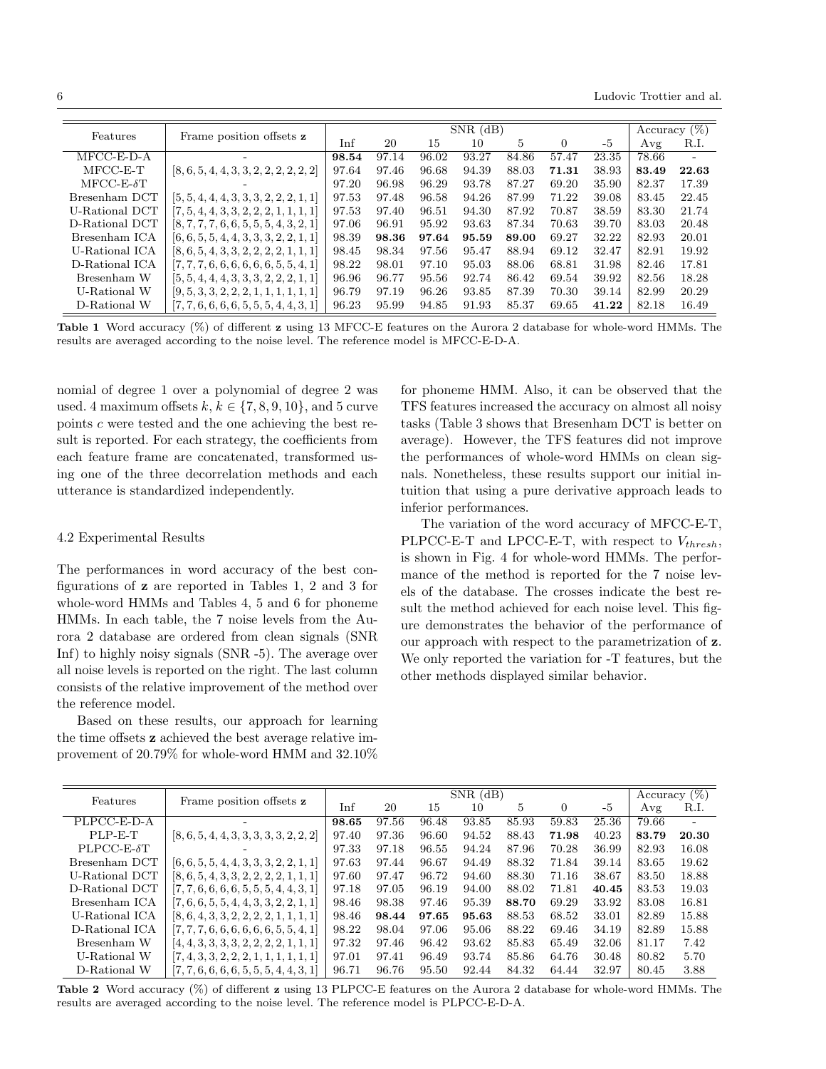6 Ludovic Trottier and al.

|                    |                                           | $SNR$ (dB) |       |       |       |       |          |       |       | Accuracy $(\%)$          |  |
|--------------------|-------------------------------------------|------------|-------|-------|-------|-------|----------|-------|-------|--------------------------|--|
| Features           | Frame position offsets z                  | Inf        | 20    | 15    | 10    | 5     | $\Omega$ | -5    | Avg   | R.I.                     |  |
| $MFCC-E-D-A$       |                                           | 98.54      | 97.14 | 96.02 | 93.27 | 84.86 | 57.47    | 23.35 | 78.66 | $\overline{\phantom{a}}$ |  |
| $MFCC-E-T$         | $[8, 6, 5, 4, 4, 3, 3, 2, 2, 2, 2, 2, 2]$ | 97.64      | 97.46 | 96.68 | 94.39 | 88.03 | 71.31    | 38.93 | 83.49 | 22.63                    |  |
| $MFCC-E- \delta T$ |                                           | 97.20      | 96.98 | 96.29 | 93.78 | 87.27 | 69.20    | 35.90 | 82.37 | 17.39                    |  |
| Bresenham DCT      | $[5, 5, 4, 4, 4, 3, 3, 3, 2, 2, 2, 1, 1]$ | 97.53      | 97.48 | 96.58 | 94.26 | 87.99 | 71.22    | 39.08 | 83.45 | 22.45                    |  |
| U-Rational DCT     | $[7, 5, 4, 4, 3, 3, 2, 2, 2, 1, 1, 1, 1]$ | 97.53      | 97.40 | 96.51 | 94.30 | 87.92 | 70.87    | 38.59 | 83.30 | 21.74                    |  |
| D-Rational DCT     | $[8, 7, 7, 7, 6, 6, 5, 5, 5, 4, 3, 2, 1]$ | 97.06      | 96.91 | 95.92 | 93.63 | 87.34 | 70.63    | 39.70 | 83.03 | 20.48                    |  |
| Bresenham ICA      | $[6, 6, 5, 5, 4, 4, 3, 3, 3, 2, 2, 1, 1]$ | 98.39      | 98.36 | 97.64 | 95.59 | 89.00 | 69.27    | 32.22 | 82.93 | 20.01                    |  |
| U-Rational ICA     | $[8, 6, 5, 4, 3, 3, 2, 2, 2, 2, 1, 1, 1]$ | 98.45      | 98.34 | 97.56 | 95.47 | 88.94 | 69.12    | 32.47 | 82.91 | 19.92                    |  |
| D-Rational ICA     | $[7, 7, 7, 6, 6, 6, 6, 6, 6, 5, 5, 4, 1]$ | 98.22      | 98.01 | 97.10 | 95.03 | 88.06 | 68.81    | 31.98 | 82.46 | 17.81                    |  |
| Bresenham W        | $[5, 5, 4, 4, 4, 3, 3, 3, 2, 2, 2, 1, 1]$ | 96.96      | 96.77 | 95.56 | 92.74 | 86.42 | 69.54    | 39.92 | 82.56 | 18.28                    |  |
| U-Rational W       | $[9, 5, 3, 3, 2, 2, 2, 1, 1, 1, 1, 1, 1]$ | 96.79      | 97.19 | 96.26 | 93.85 | 87.39 | 70.30    | 39.14 | 82.99 | 20.29                    |  |
| D-Rational W       | $[7, 7, 6, 6, 6, 6, 5, 5, 5, 4, 4, 3, 1]$ | 96.23      | 95.99 | 94.85 | 91.93 | 85.37 | 69.65    | 41.22 | 82.18 | 16.49                    |  |

**Table 1** Word accuracy (%) of different **z** using 13 MFCC-E features on the Aurora 2 database for whole-word HMMs. The results are averaged according to the noise level. The reference model is MFCC-E-D-A.

nomial of degree 1 over a polynomial of degree 2 was used. 4 maximum offsets  $k, k \in \{7, 8, 9, 10\}$ , and 5 curve points *c* were tested and the one achieving the best result is reported. For each strategy, the coefficients from each feature frame are concatenated, transformed using one of the three decorrelation methods and each utterance is standardized independently.

### 4.2 Experimental Results

The performances in word accuracy of the best configurations of **z** are reported in Tables 1, 2 and 3 for whole-word HMMs and Tables 4, 5 and 6 for phoneme HMMs. In each table, the 7 noise levels from the Aurora 2 database are ordered from clean signals (SNR Inf) to highly noisy signals (SNR -5). The average over all noise levels is reported on the right. The last column consists of the relative improvement of the method over the reference model.

Based on these results, our approach for learning the time offsets **z** achieved the best average relative improvement of 20*.*79% for whole-word HMM and 32*.*10%

for phoneme HMM. Also, it can be observed that the TFS features increased the accuracy on almost all noisy tasks (Table 3 shows that Bresenham DCT is better on average). However, the TFS features did not improve the performances of whole-word HMMs on clean signals. Nonetheless, these results support our initial intuition that using a pure derivative approach leads to inferior performances.

The variation of the word accuracy of MFCC-E-T, PLPCC-E-T and LPCC-E-T, with respect to *Vthresh*, is shown in Fig. 4 for whole-word HMMs. The performance of the method is reported for the 7 noise levels of the database. The crosses indicate the best result the method achieved for each noise level. This figure demonstrates the behavior of the performance of our approach with respect to the parametrization of **z**. We only reported the variation for -T features, but the other methods displayed similar behavior.

| Features            |                                           |       | Accuracy $(\%)$ |       |       |       |       |       |       |       |
|---------------------|-------------------------------------------|-------|-----------------|-------|-------|-------|-------|-------|-------|-------|
|                     | Frame position offsets z                  | Inf   | 20              | 15    | 10    | 5     | 0     | -5    | Avg   | R.I.  |
| PLPCC-E-D-A         |                                           | 98.65 | 97.56           | 96.48 | 93.85 | 85.93 | 59.83 | 25.36 | 79.66 |       |
| PLP-E-T             | $[8, 6, 5, 4, 4, 3, 3, 3, 3, 3, 2, 2, 2]$ | 97.40 | 97.36           | 96.60 | 94.52 | 88.43 | 71.98 | 40.23 | 83.79 | 20.30 |
| $PLPCC-E- \delta T$ |                                           | 97.33 | 97.18           | 96.55 | 94.24 | 87.96 | 70.28 | 36.99 | 82.93 | 16.08 |
| Bresenham DCT       | $[6, 6, 5, 5, 4, 4, 3, 3, 3, 2, 2, 1, 1]$ | 97.63 | 97.44           | 96.67 | 94.49 | 88.32 | 71.84 | 39.14 | 83.65 | 19.62 |
| U-Rational DCT      | $[8, 6, 5, 4, 3, 3, 2, 2, 2, 2, 1, 1, 1]$ | 97.60 | 97.47           | 96.72 | 94.60 | 88.30 | 71.16 | 38.67 | 83.50 | 18.88 |
| D-Rational DCT      | $[7, 7, 6, 6, 6, 6, 5, 5, 5, 4, 4, 3, 1]$ | 97.18 | 97.05           | 96.19 | 94.00 | 88.02 | 71.81 | 40.45 | 83.53 | 19.03 |
| Bresenham ICA       | $[7, 6, 6, 5, 5, 4, 4, 3, 3, 2, 2, 1, 1]$ | 98.46 | 98.38           | 97.46 | 95.39 | 88.70 | 69.29 | 33.92 | 83.08 | 16.81 |
| U-Rational ICA      | $[8, 6, 4, 3, 3, 2, 2, 2, 2, 1, 1, 1, 1]$ | 98.46 | 98.44           | 97.65 | 95.63 | 88.53 | 68.52 | 33.01 | 82.89 | 15.88 |
| D-Rational ICA      | $[7, 7, 7, 6, 6, 6, 6, 6, 6, 5, 5, 4, 1]$ | 98.22 | 98.04           | 97.06 | 95.06 | 88.22 | 69.46 | 34.19 | 82.89 | 15.88 |
| Bresenham W         | $[4, 4, 3, 3, 3, 3, 2, 2, 2, 2, 1, 1, 1]$ | 97.32 | 97.46           | 96.42 | 93.62 | 85.83 | 65.49 | 32.06 | 81.17 | 7.42  |
| U-Rational W        | $[7, 4, 3, 3, 2, 2, 2, 1, 1, 1, 1, 1, 1]$ | 97.01 | 97.41           | 96.49 | 93.74 | 85.86 | 64.76 | 30.48 | 80.82 | 5.70  |
| D-Rational W        | $[7, 7, 6, 6, 6, 6, 5, 5, 5, 4, 4, 3, 1]$ | 96.71 | 96.76           | 95.50 | 92.44 | 84.32 | 64.44 | 32.97 | 80.45 | 3.88  |

**Table 2** Word accuracy (%) of different **z** using 13 PLPCC-E features on the Aurora 2 database for whole-word HMMs. The results are averaged according to the noise level. The reference model is PLPCC-E-D-A.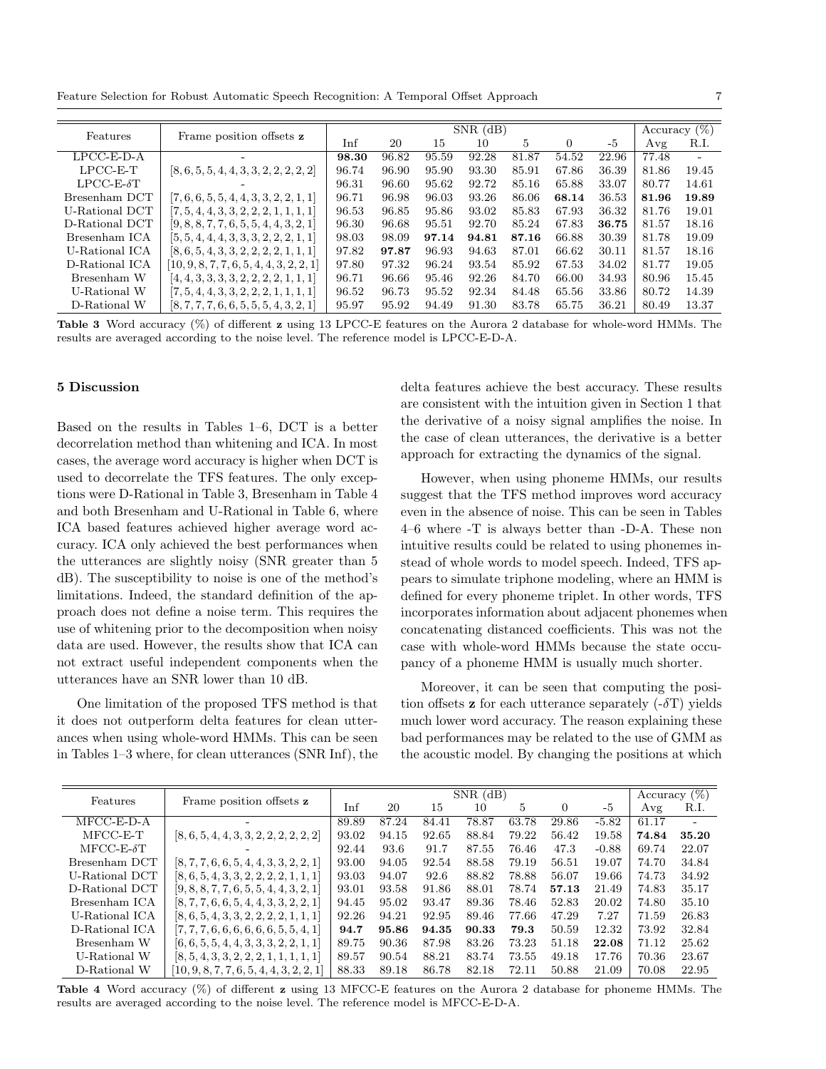Feature Selection for Robust Automatic Speech Recognition: A Temporal Offset Approach 7

| Features           | Frame position offsets z                   |       | Accuracy $(\%)$ |       |       |       |       |       |       |       |
|--------------------|--------------------------------------------|-------|-----------------|-------|-------|-------|-------|-------|-------|-------|
|                    |                                            | Inf   | 20              | 15    | 10    | 5     | 0     | -5    | Avg   | R.I.  |
| $LPCC-E-D-A$       |                                            | 98.30 | 96.82           | 95.59 | 92.28 | 81.87 | 54.52 | 22.96 | 77.48 |       |
| $LPCC-E-T$         | $[8, 6, 5, 5, 4, 4, 3, 3, 2, 2, 2, 2, 2]$  | 96.74 | 96.90           | 95.90 | 93.30 | 85.91 | 67.86 | 36.39 | 81.86 | 19.45 |
| $LPCC-E- \delta T$ |                                            | 96.31 | 96.60           | 95.62 | 92.72 | 85.16 | 65.88 | 33.07 | 80.77 | 14.61 |
| Bresenham DCT      | $[7, 6, 6, 5, 5, 4, 4, 3, 3, 2, 2, 1, 1]$  | 96.71 | 96.98           | 96.03 | 93.26 | 86.06 | 68.14 | 36.53 | 81.96 | 19.89 |
| U-Rational DCT     | $[7, 5, 4, 4, 3, 3, 2, 2, 2, 1, 1, 1, 1]$  | 96.53 | 96.85           | 95.86 | 93.02 | 85.83 | 67.93 | 36.32 | 81.76 | 19.01 |
| D-Rational DCT     | $[9, 8, 8, 7, 7, 6, 5, 5, 4, 4, 3, 2, 1]$  | 96.30 | 96.68           | 95.51 | 92.70 | 85.24 | 67.83 | 36.75 | 81.57 | 18.16 |
| Bresenham ICA      | $[5, 5, 4, 4, 4, 3, 3, 3, 2, 2, 2, 1, 1]$  | 98.03 | 98.09           | 97.14 | 94.81 | 87.16 | 66.88 | 30.39 | 81.78 | 19.09 |
| U-Rational ICA     | $[8, 6, 5, 4, 3, 3, 2, 2, 2, 2, 1, 1, 1]$  | 97.82 | 97.87           | 96.93 | 94.63 | 87.01 | 66.62 | 30.11 | 81.57 | 18.16 |
| D-Rational ICA     | $[10, 9, 8, 7, 7, 6, 5, 4, 4, 3, 2, 2, 1]$ | 97.80 | 97.32           | 96.24 | 93.54 | 85.92 | 67.53 | 34.02 | 81.77 | 19.05 |
| Bresenham W        | $[4, 4, 3, 3, 3, 3, 2, 2, 2, 2, 1, 1, 1]$  | 96.71 | 96.66           | 95.46 | 92.26 | 84.70 | 66.00 | 34.93 | 80.96 | 15.45 |
| U-Rational W       | $[7, 5, 4, 4, 3, 3, 2, 2, 2, 1, 1, 1, 1]$  | 96.52 | 96.73           | 95.52 | 92.34 | 84.48 | 65.56 | 33.86 | 80.72 | 14.39 |
| D-Rational W       | $[8, 7, 7, 7, 6, 6, 5, 5, 5, 4, 3, 2, 1]$  | 95.97 | 95.92           | 94.49 | 91.30 | 83.78 | 65.75 | 36.21 | 80.49 | 13.37 |

**Table 3** Word accuracy (%) of different **z** using 13 LPCC-E features on the Aurora 2 database for whole-word HMMs. The results are averaged according to the noise level. The reference model is LPCC-E-D-A.

### **5 Discussion**

Based on the results in Tables 1–6, DCT is a better decorrelation method than whitening and ICA. In most cases, the average word accuracy is higher when DCT is used to decorrelate the TFS features. The only exceptions were D-Rational in Table 3, Bresenham in Table 4 and both Bresenham and U-Rational in Table 6, where ICA based features achieved higher average word accuracy. ICA only achieved the best performances when the utterances are slightly noisy (SNR greater than 5 dB). The susceptibility to noise is one of the method's limitations. Indeed, the standard definition of the approach does not define a noise term. This requires the use of whitening prior to the decomposition when noisy data are used. However, the results show that ICA can not extract useful independent components when the utterances have an SNR lower than 10 dB.

One limitation of the proposed TFS method is that it does not outperform delta features for clean utterances when using whole-word HMMs. This can be seen in Tables 1–3 where, for clean utterances (SNR Inf), the delta features achieve the best accuracy. These results are consistent with the intuition given in Section 1 that the derivative of a noisy signal amplifies the noise. In the case of clean utterances, the derivative is a better approach for extracting the dynamics of the signal.

However, when using phoneme HMMs, our results suggest that the TFS method improves word accuracy even in the absence of noise. This can be seen in Tables 4–6 where -T is always better than -D-A. These non intuitive results could be related to using phonemes instead of whole words to model speech. Indeed, TFS appears to simulate triphone modeling, where an HMM is defined for every phoneme triplet. In other words, TFS incorporates information about adjacent phonemes when concatenating distanced coefficients. This was not the case with whole-word HMMs because the state occupancy of a phoneme HMM is usually much shorter.

Moreover, it can be seen that computing the position offsets **z** for each utterance separately (-*δ*T) yields much lower word accuracy. The reason explaining these bad performances may be related to the use of GMM as the acoustic model. By changing the positions at which

| Features           | Frame position offsets z                   |       | Accuracy $(\%)$ |       |       |       |       |         |       |       |
|--------------------|--------------------------------------------|-------|-----------------|-------|-------|-------|-------|---------|-------|-------|
|                    |                                            | Inf   | 20              | 15    | 10    | 5     | 0     | -5      | Avg   | R.I.  |
| $MFCC-E-D-A$       |                                            | 89.89 | 87.24           | 84.41 | 78.87 | 63.78 | 29.86 | $-5.82$ | 61.17 |       |
| $MFCC-E-T$         | $[8, 6, 5, 4, 4, 3, 3, 2, 2, 2, 2, 2, 2]$  | 93.02 | 94.15           | 92.65 | 88.84 | 79.22 | 56.42 | 19.58   | 74.84 | 35.20 |
| $MFCC-E- \delta T$ |                                            | 92.44 | 93.6            | 91.7  | 87.55 | 76.46 | 47.3  | $-0.88$ | 69.74 | 22.07 |
| Bresenham DCT      | $[8, 7, 7, 6, 6, 5, 4, 4, 3, 3, 2, 2, 1]$  | 93.00 | 94.05           | 92.54 | 88.58 | 79.19 | 56.51 | 19.07   | 74.70 | 34.84 |
| U-Rational DCT     | $[8, 6, 5, 4, 3, 3, 2, 2, 2, 2, 1, 1, 1]$  | 93.03 | 94.07           | 92.6  | 88.82 | 78.88 | 56.07 | 19.66   | 74.73 | 34.92 |
| D-Rational DCT     | $[9, 8, 8, 7, 7, 6, 5, 5, 4, 4, 3, 2, 1]$  | 93.01 | 93.58           | 91.86 | 88.01 | 78.74 | 57.13 | 21.49   | 74.83 | 35.17 |
| Bresenham ICA      | $[8, 7, 7, 6, 6, 5, 4, 4, 3, 3, 2, 2, 1]$  | 94.45 | 95.02           | 93.47 | 89.36 | 78.46 | 52.83 | 20.02   | 74.80 | 35.10 |
| U-Rational ICA     | $[8, 6, 5, 4, 3, 3, 2, 2, 2, 2, 1, 1, 1]$  | 92.26 | 94.21           | 92.95 | 89.46 | 77.66 | 47.29 | 7.27    | 71.59 | 26.83 |
| D-Rational ICA     | $[7, 7, 7, 6, 6, 6, 6, 6, 6, 5, 5, 4, 1]$  | 94.7  | 95.86           | 94.35 | 90.33 | 79.3  | 50.59 | 12.32   | 73.92 | 32.84 |
| Bresenham W        | $[6, 6, 5, 5, 4, 4, 3, 3, 3, 2, 2, 1, 1]$  | 89.75 | 90.36           | 87.98 | 83.26 | 73.23 | 51.18 | 22.08   | 71.12 | 25.62 |
| U-Rational W       | $[8, 5, 4, 3, 3, 2, 2, 2, 1, 1, 1, 1, 1]$  | 89.57 | 90.54           | 88.21 | 83.74 | 73.55 | 49.18 | 17.76   | 70.36 | 23.67 |
| D-Rational W       | $[10, 9, 8, 7, 7, 6, 5, 4, 4, 3, 2, 2, 1]$ | 88.33 | 89.18           | 86.78 | 82.18 | 72.11 | 50.88 | 21.09   | 70.08 | 22.95 |

**Table 4** Word accuracy (%) of different **z** using 13 MFCC-E features on the Aurora 2 database for phoneme HMMs. The results are averaged according to the noise level. The reference model is MFCC-E-D-A.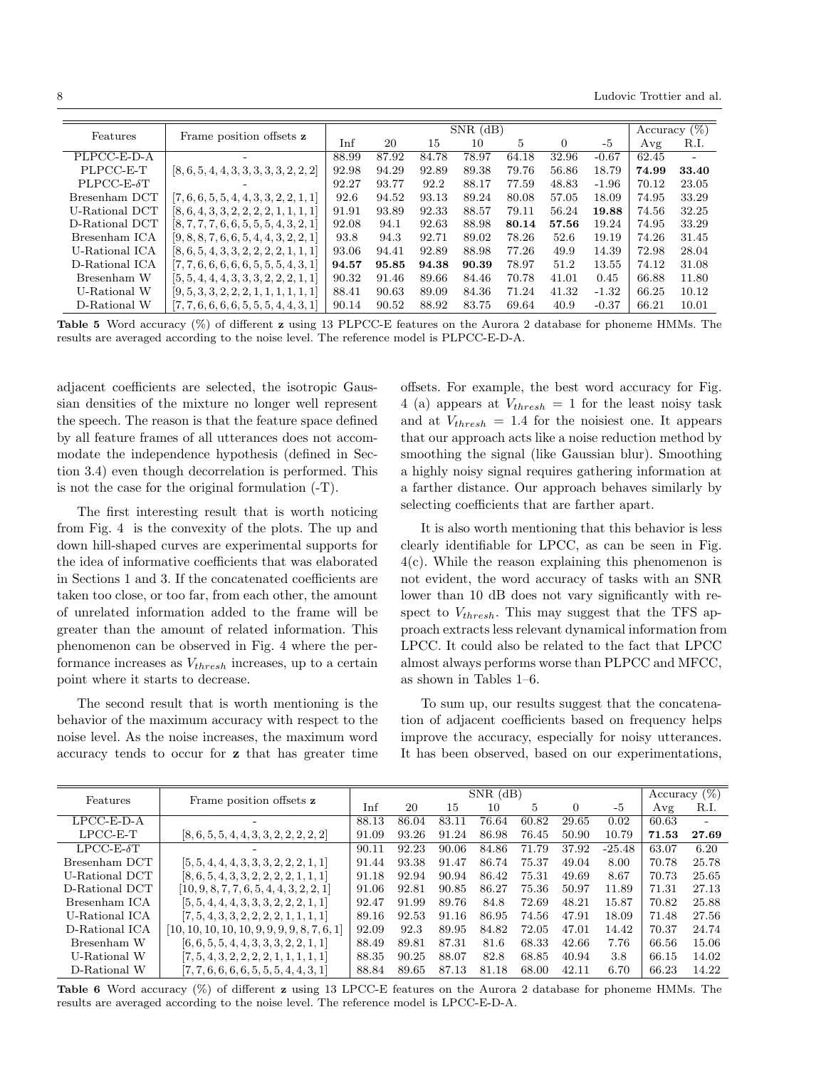8 Ludovic Trottier and al.

|                     |                                           |       |       |                 | $SNR$ (dB) |       |          |         |       |       |
|---------------------|-------------------------------------------|-------|-------|-----------------|------------|-------|----------|---------|-------|-------|
| Features            |                                           |       |       | Accuracy $(\%)$ |            |       |          |         |       |       |
|                     | Frame position offsets z                  | Inf   | 20    | 15              | 10         | 5     | $\left($ | -5      | Avg   | R.I.  |
| PLPCC-E-D-A         |                                           | 88.99 | 87.92 | 84.78           | 78.97      | 64.18 | 32.96    | $-0.67$ | 62.45 |       |
| PLPCC-E-T           | $[8, 6, 5, 4, 4, 3, 3, 3, 3, 3, 2, 2, 2]$ | 92.98 | 94.29 | 92.89           | 89.38      | 79.76 | 56.86    | 18.79   | 74.99 | 33.40 |
| $PLPCC-E- \delta T$ |                                           | 92.27 | 93.77 | 92.2            | 88.17      | 77.59 | 48.83    | $-1.96$ | 70.12 | 23.05 |
| Bresenham DCT       | $[7, 6, 6, 5, 5, 4, 4, 3, 3, 2, 2, 1, 1]$ | 92.6  | 94.52 | 93.13           | 89.24      | 80.08 | 57.05    | 18.09   | 74.95 | 33.29 |
| U-Rational DCT      | $[8, 6, 4, 3, 3, 2, 2, 2, 2, 1, 1, 1, 1]$ | 91.91 | 93.89 | 92.33           | 88.57      | 79.11 | 56.24    | 19.88   | 74.56 | 32.25 |
| D-Rational DCT      | $[8, 7, 7, 7, 6, 6, 5, 5, 5, 4, 3, 2, 1]$ | 92.08 | 94.1  | 92.63           | 88.98      | 80.14 | 57.56    | 19.24   | 74.95 | 33.29 |
| Bresenham ICA       | $[9, 8, 8, 7, 6, 6, 5, 4, 4, 3, 2, 2, 1]$ | 93.8  | 94.3  | 92.71           | 89.02      | 78.26 | 52.6     | 19.19   | 74.26 | 31.45 |
| U-Rational ICA      | $[8, 6, 5, 4, 3, 3, 2, 2, 2, 2, 1, 1, 1]$ | 93.06 | 94.41 | 92.89           | 88.98      | 77.26 | 49.9     | 14.39   | 72.98 | 28.04 |
| D-Rational ICA      | $[7, 7, 6, 6, 6, 6, 6, 5, 5, 5, 4, 3, 1]$ | 94.57 | 95.85 | 94.38           | 90.39      | 78.97 | 51.2     | 13.55   | 74.12 | 31.08 |
| Bresenham W         | $[5, 5, 4, 4, 4, 3, 3, 3, 2, 2, 2, 1, 1]$ | 90.32 | 91.46 | 89.66           | 84.46      | 70.78 | 41.01    | 0.45    | 66.88 | 11.80 |
| U-Rational W        | $[9, 5, 3, 3, 2, 2, 2, 1, 1, 1, 1, 1, 1]$ | 88.41 | 90.63 | 89.09           | 84.36      | 71.24 | 41.32    | $-1.32$ | 66.25 | 10.12 |
| D-Rational W        | $[7, 7, 6, 6, 6, 6, 5, 5, 5, 4, 4, 3, 1]$ | 90.14 | 90.52 | 88.92           | 83.75      | 69.64 | 40.9     | $-0.37$ | 66.21 | 10.01 |

**Table 5** Word accuracy (%) of different **z** using 13 PLPCC-E features on the Aurora 2 database for phoneme HMMs. The results are averaged according to the noise level. The reference model is PLPCC-E-D-A.

adjacent coefficients are selected, the isotropic Gaussian densities of the mixture no longer well represent the speech. The reason is that the feature space defined by all feature frames of all utterances does not accommodate the independence hypothesis (defined in Section 3.4) even though decorrelation is performed. This is not the case for the original formulation (-T).

The first interesting result that is worth noticing from Fig. 4 is the convexity of the plots. The up and down hill-shaped curves are experimental supports for the idea of informative coefficients that was elaborated in Sections 1 and 3. If the concatenated coefficients are taken too close, or too far, from each other, the amount of unrelated information added to the frame will be greater than the amount of related information. This phenomenon can be observed in Fig. 4 where the performance increases as *Vthresh* increases, up to a certain point where it starts to decrease.

The second result that is worth mentioning is the behavior of the maximum accuracy with respect to the noise level. As the noise increases, the maximum word accuracy tends to occur for **z** that has greater time

offsets. For example, the best word accuracy for Fig. 4 (a) appears at  $V_{thresh} = 1$  for the least noisy task and at  $V_{thresh} = 1.4$  for the noisiest one. It appears that our approach acts like a noise reduction method by smoothing the signal (like Gaussian blur). Smoothing a highly noisy signal requires gathering information at a farther distance. Our approach behaves similarly by selecting coefficients that are farther apart.

It is also worth mentioning that this behavior is less clearly identifiable for LPCC, as can be seen in Fig. 4(c). While the reason explaining this phenomenon is not evident, the word accuracy of tasks with an SNR lower than 10 dB does not vary significantly with respect to *Vthresh*. This may suggest that the TFS approach extracts less relevant dynamical information from LPCC. It could also be related to the fact that LPCC almost always performs worse than PLPCC and MFCC, as shown in Tables 1–6.

To sum up, our results suggest that the concatenation of adjacent coefficients based on frequency helps improve the accuracy, especially for noisy utterances. It has been observed, based on our experimentations,

| Features           | Frame position offsets z                       |       | Accuracy $(\%)$ |       |       |       |       |          |       |       |
|--------------------|------------------------------------------------|-------|-----------------|-------|-------|-------|-------|----------|-------|-------|
|                    |                                                | Inf   | 20              | 15    | 10    | 5     | 0     | -5       | Avg   | R.I.  |
| $LPCC-E-D-A$       |                                                | 88.13 | 86.04           | 83.11 | 76.64 | 60.82 | 29.65 | 0.02     | 60.63 |       |
| $LPCC-E-T$         | $[8, 6, 5, 5, 4, 4, 3, 3, 2, 2, 2, 2, 2]$      | 91.09 | 93.26           | 91.24 | 86.98 | 76.45 | 50.90 | 10.79    | 71.53 | 27.69 |
| $LPCC-E- \delta T$ |                                                | 90.11 | 92.23           | 90.06 | 84.86 | 71.79 | 37.92 | $-25.48$ | 63.07 | 6.20  |
| Bresenham DCT      | $[5, 5, 4, 4, 4, 3, 3, 3, 2, 2, 2, 1, 1]$      | 91.44 | 93.38           | 91.47 | 86.74 | 75.37 | 49.04 | 8.00     | 70.78 | 25.78 |
| U-Rational DCT     | $[8, 6, 5, 4, 3, 3, 2, 2, 2, 2, 1, 1, 1]$      | 91.18 | 92.94           | 90.94 | 86.42 | 75.31 | 49.69 | 8.67     | 70.73 | 25.65 |
| D-Rational DCT     | $[10, 9, 8, 7, 7, 6, 5, 4, 4, 3, 2, 2, 1]$     | 91.06 | 92.81           | 90.85 | 86.27 | 75.36 | 50.97 | 11.89    | 71.31 | 27.13 |
| Bresenham ICA      | $[5, 5, 4, 4, 4, 3, 3, 3, 2, 2, 2, 1, 1]$      | 92.47 | 91.99           | 89.76 | 84.8  | 72.69 | 48.21 | 15.87    | 70.82 | 25.88 |
| U-Rational ICA     | $[7, 5, 4, 3, 3, 2, 2, 2, 2, 1, 1, 1, 1]$      | 89.16 | 92.53           | 91.16 | 86.95 | 74.56 | 47.91 | 18.09    | 71.48 | 27.56 |
| D-Rational ICA     | $[10, 10, 10, 10, 10, 9, 9, 9, 9, 8, 7, 6, 1]$ | 92.09 | 92.3            | 89.95 | 84.82 | 72.05 | 47.01 | 14.42    | 70.37 | 24.74 |
| Bresenham W        | $[6, 6, 5, 5, 4, 4, 3, 3, 3, 2, 2, 1, 1]$      | 88.49 | 89.81           | 87.31 | 81.6  | 68.33 | 42.66 | 7.76     | 66.56 | 15.06 |
| U-Rational W       | $[7, 5, 4, 3, 2, 2, 2, 2, 1, 1, 1, 1, 1]$      | 88.35 | 90.25           | 88.07 | 82.8  | 68.85 | 40.94 | 3.8      | 66.15 | 14.02 |
| D-Rational W       | $[7, 7, 6, 6, 6, 6, 5, 5, 5, 4, 4, 3, 1]$      | 88.84 | 89.65           | 87.13 | 81.18 | 68.00 | 42.11 | 6.70     | 66.23 | 14.22 |

**Table 6** Word accuracy (%) of different **z** using 13 LPCC-E features on the Aurora 2 database for phoneme HMMs. The results are averaged according to the noise level. The reference model is LPCC-E-D-A.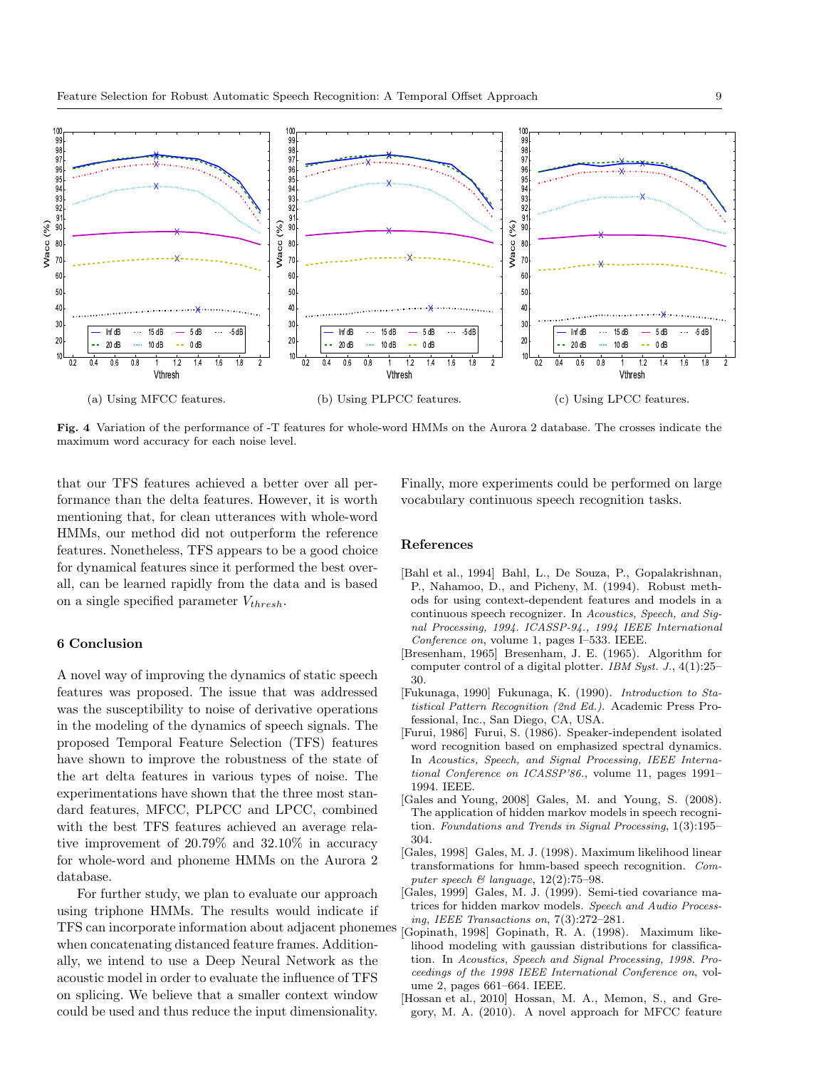

**Fig. 4** Variation of the performance of -T features for whole-word HMMs on the Aurora 2 database. The crosses indicate the maximum word accuracy for each noise level.

that our TFS features achieved a better over all performance than the delta features. However, it is worth mentioning that, for clean utterances with whole-word HMMs, our method did not outperform the reference features. Nonetheless, TFS appears to be a good choice for dynamical features since it performed the best overall, can be learned rapidly from the data and is based on a single specified parameter *Vthresh*.

# **6 Conclusion**

A novel way of improving the dynamics of static speech features was proposed. The issue that was addressed was the susceptibility to noise of derivative operations in the modeling of the dynamics of speech signals. The proposed Temporal Feature Selection (TFS) features have shown to improve the robustness of the state of the art delta features in various types of noise. The experimentations have shown that the three most standard features, MFCC, PLPCC and LPCC, combined with the best TFS features achieved an average relative improvement of 20*.*79% and 32*.*10% in accuracy for whole-word and phoneme HMMs on the Aurora 2 database.

For further study, we plan to evaluate our approach using triphone HMMs. The results would indicate if TFS can incorporate information about adjacent phonemes when concatenating distanced feature frames. Additionally, we intend to use a Deep Neural Network as the acoustic model in order to evaluate the influence of TFS on splicing. We believe that a smaller context window could be used and thus reduce the input dimensionality.

Finally, more experiments could be performed on large vocabulary continuous speech recognition tasks.

#### **References**

- [Bahl et al., 1994] Bahl, L., De Souza, P., Gopalakrishnan, P., Nahamoo, D., and Picheny, M. (1994). Robust methods for using context-dependent features and models in a continuous speech recognizer. In *Acoustics, Speech, and Signal Processing, 1994. ICASSP-94., 1994 IEEE International Conference on*, volume 1, pages I–533. IEEE.
- [Bresenham, 1965] Bresenham, J. E. (1965). Algorithm for computer control of a digital plotter. *IBM Syst. J.*, 4(1):25– 30.
- [Fukunaga, 1990] Fukunaga, K. (1990). *Introduction to Statistical Pattern Recognition (2nd Ed.)*. Academic Press Professional, Inc., San Diego, CA, USA.
- [Furui, 1986] Furui, S. (1986). Speaker-independent isolated word recognition based on emphasized spectral dynamics. In *Acoustics, Speech, and Signal Processing, IEEE International Conference on ICASSP'86.*, volume 11, pages 1991– 1994. IEEE.
- [Gales and Young, 2008] Gales, M. and Young, S. (2008). The application of hidden markov models in speech recognition. *Foundations and Trends in Signal Processing*, 1(3):195– 304.
- [Gales, 1998] Gales, M. J. (1998). Maximum likelihood linear transformations for hmm-based speech recognition. *Computer speech & language*, 12(2):75–98.
- [Gales, 1999] Gales, M. J. (1999). Semi-tied covariance matrices for hidden markov models. *Speech and Audio Processing, IEEE Transactions on*, 7(3):272–281.
- [Gopinath, 1998] Gopinath, R. A. (1998). Maximum likelihood modeling with gaussian distributions for classification. In *Acoustics, Speech and Signal Processing, 1998. Proceedings of the 1998 IEEE International Conference on*, volume 2, pages 661–664. IEEE.
- [Hossan et al., 2010] Hossan, M. A., Memon, S., and Gregory, M. A. (2010). A novel approach for MFCC feature